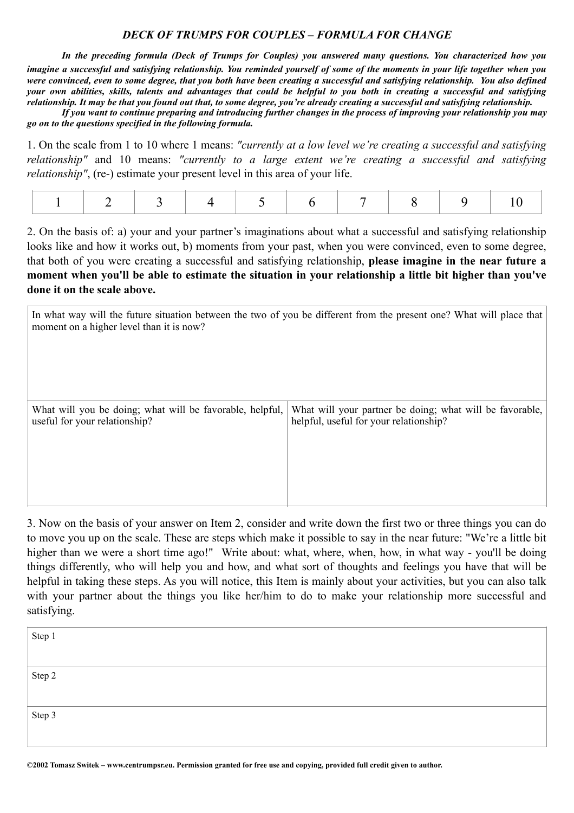## *DECK OF TRUMPS FOR COUPLES* **–** *FORMULA FOR CHANGE*

*In the preceding formula (Deck of Trumps for Couples) you answered many questions. You characterized how you imagine a successful and satisfying relationship. You reminded yourself of some of the moments in your life together when you were convinced, even to some degree, that you both have been creating a successful and satisfying relationship. You also defined your own abilities, skills, talents and advantages that could be helpful to you both in creating a successful and satisfying relationship. It may be that you found out that, to some degree, you're already creating a successful and satisfying relationship.* 

*If you want to continue preparing and introducing further changes in the process of improving your relationship you may go on to the questions specified in the following formula.*

1. On the scale from 1 to 10 where 1 means: *"currently at a low level we're creating a successful and satisfying relationship"* and 10 means: *"currently to a large extent we're creating a successful and satisfying relationship"*, (re-) estimate your present level in this area of your life.

|--|--|--|

2. On the basis of: a) your and your partner's imaginations about what a successful and satisfying relationship looks like and how it works out, b) moments from your past, when you were convinced, even to some degree, that both of you were creating a successful and satisfying relationship, **please imagine in the near future a moment when you'll be able to estimate the situation in your relationship a little bit higher than you've done it on the scale above.** 

In what way will the future situation between the two of you be different from the present one? What will place that moment on a higher level than it is now?

| What will you be doing; what will be favorable, helpful, | What will your partner be doing; what will be favorable, |
|----------------------------------------------------------|----------------------------------------------------------|
| useful for your relationship?                            | helpful, useful for your relationship?                   |
|                                                          |                                                          |

3. Now on the basis of your answer on Item 2, consider and write down the first two or three things you can do to move you up on the scale. These are steps which make it possible to say in the near future: "We're a little bit higher than we were a short time ago!" Write about: what, where, when, how, in what way - you'll be doing things differently, who will help you and how, and what sort of thoughts and feelings you have that will be helpful in taking these steps. As you will notice, this Item is mainly about your activities, but you can also talk with your partner about the things you like her/him to do to make your relationship more successful and satisfying.

| Step 1 |  |
|--------|--|
|        |  |
| Step 2 |  |
|        |  |
| Step 3 |  |
|        |  |